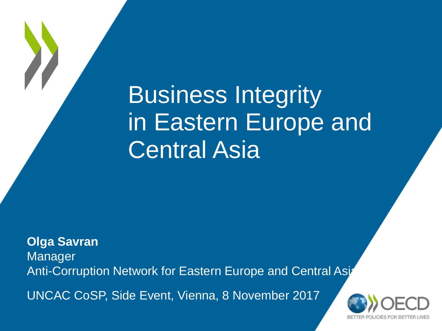# Business Integrity in Eastern Europe and Central Asia

**Olga Savran** Manager Anti-Corruption Network for Eastern Europe and Central Asia UNCAC CoSP, Side Event, Vienna, 8 November 2017

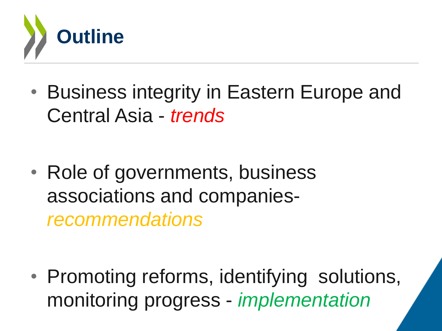

• Business integrity in Eastern Europe and Central Asia - *trends*

• Role of governments, business associations and companies*recommendations* 

• Promoting reforms, identifying solutions, monitoring progress - *implementation*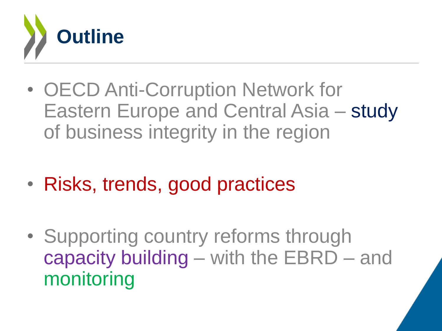

- OECD Anti-Corruption Network for Eastern Europe and Central Asia – study of business integrity in the region
- Risks, trends, good practices
- Supporting country reforms through capacity building – with the EBRD – and monitoring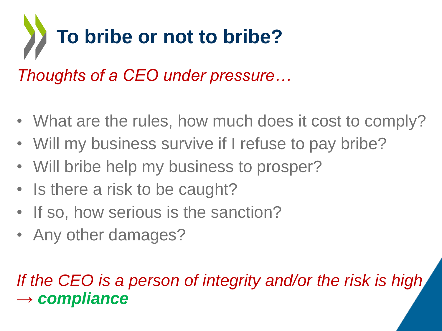

*Thoughts of a CEO under pressure…*

- What are the rules, how much does it cost to comply?
- Will my business survive if I refuse to pay bribe?
- Will bribe help my business to prosper?
- Is there a risk to be caught?
- If so, how serious is the sanction?
- Any other damages?

#### *If the CEO is a person of integrity and/or the risk is high → compliance*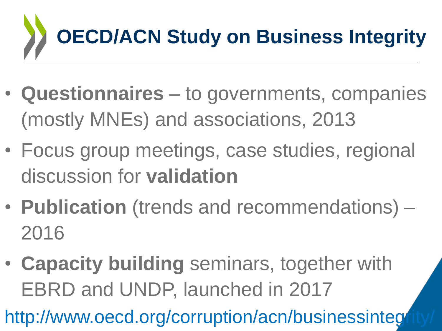

- **Questionnaires** to governments, companies (mostly MNEs) and associations, 2013
- Focus group meetings, case studies, regional discussion for **validation**
- **Publication** (trends and recommendations) 2016
- **Capacity building** seminars, together with EBRD and UNDP, launched in 2017

http://www.oecd.org/corruption/acn/businessintegrity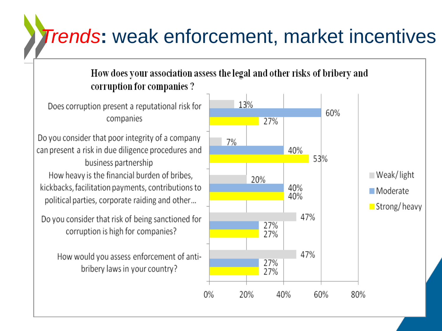## *Trends***:** weak enforcement, market incentives

#### How does your association assess the legal and other risks of bribery and corruption for companies ?

Does corruption present a reputational risk for companies

Do you consider that poor integrity of a company can present a risk in due diligence procedures and business partnership How heavy is the financial burden of bribes, kickbacks, facilitation payments, contributions to political parties, corporate raiding and other...

Do you consider that risk of being sanctioned for corruption is high for companies?

> How would you assess enforcement of antibribery laws in your country?

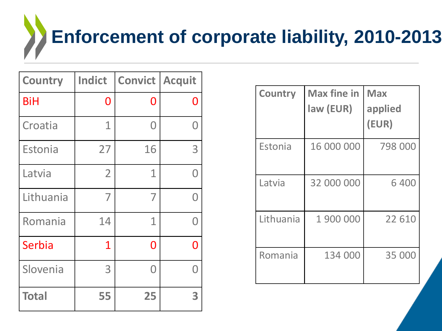# **Enforcement of corporate liability, 2010-2013**

| <b>Country</b> | <b>Indict</b>  | <b>Convict   Acquit</b> |   |
|----------------|----------------|-------------------------|---|
| <b>BiH</b>     | 0              | O                       | ⋂ |
| Croatia        | 1              | O                       | O |
| Estonia        | 27             | 16                      | 3 |
| Latvia         | $\overline{2}$ | 1                       | Ω |
| Lithuania      | 7              | 7                       | Ω |
| Romania        | 14             | 1                       | Ω |
| Serbia         | $\mathbf 1$    | 0                       | N |
| Slovenia       | 3              | Ω                       |   |
| <b>Total</b>   | 55             | 25                      | 3 |

| <b>Country</b> | <b>Max fine in</b><br>law (EUR) | <b>Max</b><br>applied<br>(EUR) |
|----------------|---------------------------------|--------------------------------|
| Estonia        | 16 000 000                      | 798 000                        |
| Latvia         | 32 000 000                      | 6400                           |
| Lithuania      | 1 900 000                       | 22 610                         |
| Romania        | 134 000                         | 35 000                         |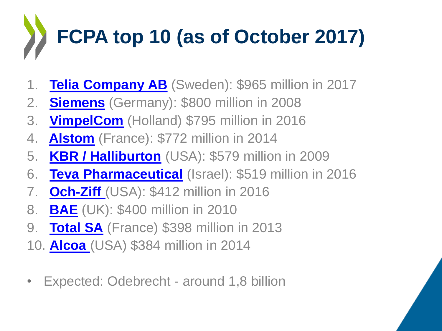# **FCPA top 10 (as of October 2017)**

- 1. **Telia [Company AB](http://www.fcpablog.com/blog/2017/9/21/telia-disgorges-457-million-to-sec-agrees-to-965-million-in.html)** (Sweden): \$965 million in 2017
- 2. **[Siemens](http://www.fcpablog.com/blog/2008/12/16/final-settlements-for-siemens.html)** (Germany): \$800 million in 2008
- 3. **[VimpelCom](http://www.fcpablog.com/blog/2016/2/18/vimpelcom-reaches-795-million-resolution-with-us-dutch-autho.html)** (Holland) \$795 million in 2016
- 4. **[Alstom](http://www.fcpablog.com/blog/2014/12/22/alstom-pays-772-million-for-fcpa-settlement-sfo-brings-new-c.html)** (France): \$772 million in 2014
- 5. **[KBR / Halliburton](http://www.fcpablog.com/2009/02/kbr-and-halliburton-resolve-charges.html)** (USA): \$579 million in 2009
- 6. **Teva [Pharmaceutical](http://www.fcpablog.com/blog/2016/12/22/teva-announces-519-million-fcpa-settlement.html)** (Israel): \$519 million in 2016
- 7. **[Och-Ziff](http://www.fcpablog.com/blog/2016/9/29/och-ziff-settles-with-sec-doj-for-412-million.html)** (USA): \$412 million in 2016
- 8. **[BAE](http://www.fcpablog.com/blog/2010/3/1/bae-pleads-guilty.html)** (UK): \$400 million in 2010
- 9. **[Total SA](http://www.fcpablog.com/blog/2013/5/29/total-sa-pays-398-million-to-settle-us-bribe-charges.html)** (France) \$398 million in 2013
- 10. **[Alcoa](http://www.fcpablog.com/blog/2014/1/9/alcoa-settles-fcpa-charge-pays-384-million-to-doj-sec.html)** (USA) \$384 million in 2014
- Expected: Odebrecht around 1,8 billion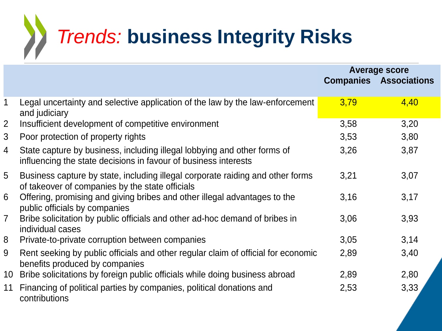

|                |                                                                                                                                             | <b>Average score</b> |                               |
|----------------|---------------------------------------------------------------------------------------------------------------------------------------------|----------------------|-------------------------------|
|                |                                                                                                                                             |                      | <b>Companies Associations</b> |
| $\mathbf{1}$   |                                                                                                                                             |                      |                               |
|                | Legal uncertainty and selective application of the law by the law-enforcement<br>and judiciary                                              | 3,79                 | 4,40                          |
| $\overline{2}$ | Insufficient development of competitive environment                                                                                         | 3,58                 | 3,20                          |
| 3              | Poor protection of property rights                                                                                                          | 3,53                 | 3,80                          |
| 4              | State capture by business, including illegal lobbying and other forms of<br>influencing the state decisions in favour of business interests | 3,26                 | 3,87                          |
| 5              | Business capture by state, including illegal corporate raiding and other forms<br>of takeover of companies by the state officials           | 3,21                 | 3,07                          |
| 6              | Offering, promising and giving bribes and other illegal advantages to the<br>public officials by companies                                  | 3,16                 | 3,17                          |
| $\overline{7}$ | Bribe solicitation by public officials and other ad-hoc demand of bribes in<br>individual cases                                             | 3,06                 | 3,93                          |
| 8              | Private-to-private corruption between companies                                                                                             | 3,05                 | 3,14                          |
| 9              | Rent seeking by public officials and other regular claim of official for economic<br>benefits produced by companies                         | 2,89                 | 3,40                          |
| 10             | Bribe solicitations by foreign public officials while doing business abroad                                                                 | 2,89                 | 2,80                          |
| 11             | Financing of political parties by companies, political donations and<br>contributions                                                       | 2,53                 | 3,33                          |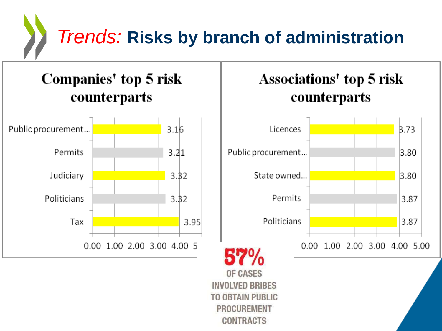

#### Companies' top 5 risk counterparts





**INVOLVED BRIBES TO OBTAIN PUBLIC PROCUREMENT CONTRACTS**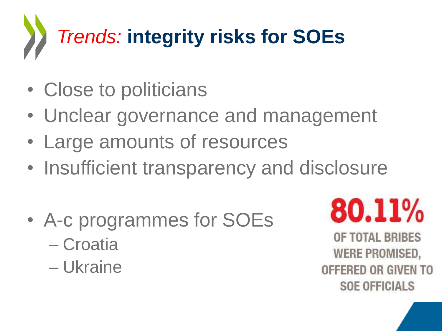

- Close to politicians
- Unclear governance and management
- Large amounts of resources
- Insufficient transparency and disclosure
- A-c programmes for SOEs – Croatia
	- Ukraine

80.11%

OF TOTAL BRIBES **WERE PROMISED,** OFFERED OR GIVEN TO **SOE OFFICIALS**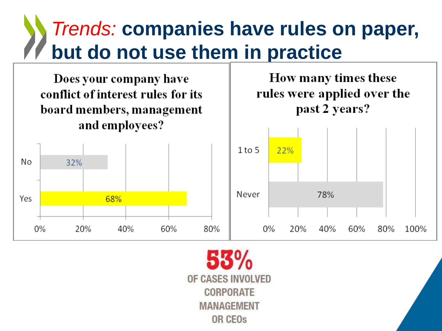### *Trends:* **companies have rules on paper, but do not use them in practice**



OF CASES INVOLVED CORPORATE **MANAGEMENT** OR CEO<sub>s</sub>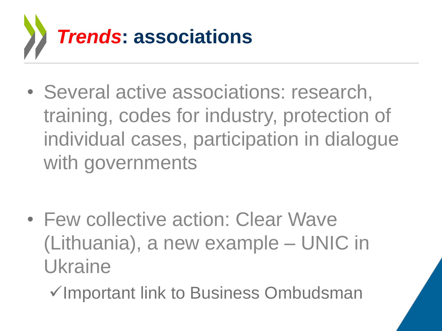

• Several active associations: research, training, codes for industry, protection of individual cases, participation in dialogue with governments

- Few collective action: Clear Wave (Lithuania), a new example – UNIC in Ukraine
	- <del></del><br>
	∕Important link to Business Ombudsman

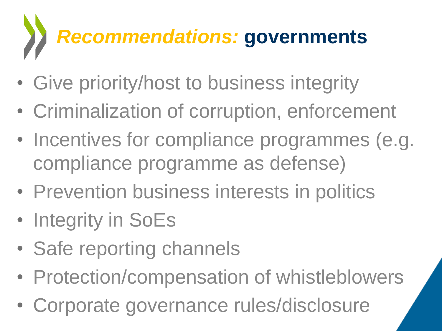# *Recommendations:* **governments**

- Give priority/host to business integrity
- Criminalization of corruption, enforcement
- Incentives for compliance programmes (e.g. compliance programme as defense)
- Prevention business interests in politics
- Integrity in SoEs
- Safe reporting channels
- Protection/compensation of whistleblowers
- Corporate governance rules/disclosure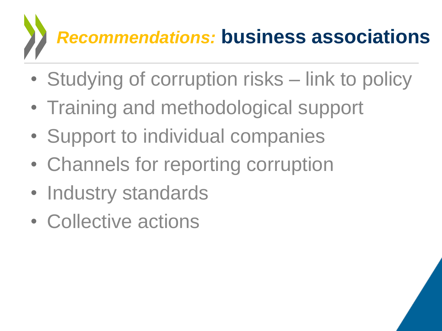# *Recommendations:* **business associations**

- Studying of corruption risks link to policy
- Training and methodological support
- Support to individual companies
- Channels for reporting corruption
- Industry standards
- Collective actions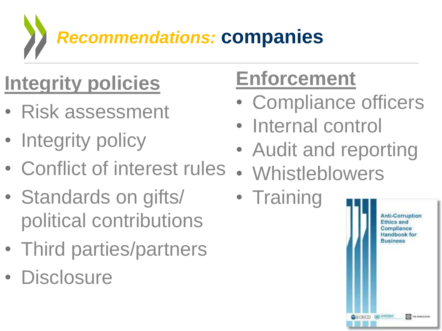*Recommendations:* **companies**

# **Integrity policies**

- Risk assessment
- Integrity policy
- Conflict of interest rules
- Standards on gifts/ political contributions
- Third parties/partners
- Disclosure

# **Enforcement**

- Compliance officers
- Internal control
- Audit and reporting
- **Whistleblowers**
- Training

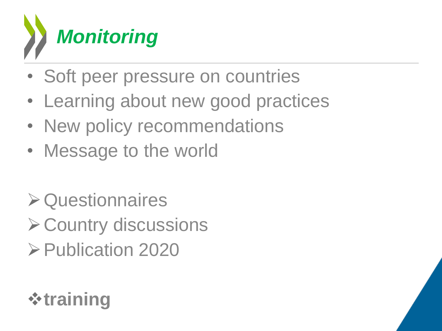

- Soft peer pressure on countries
- Learning about new good practices
- New policy recommendations
- Message to the world
- Questionnaires
- **≻ Country discussions**
- **≻Publication 2020**

#### **training**